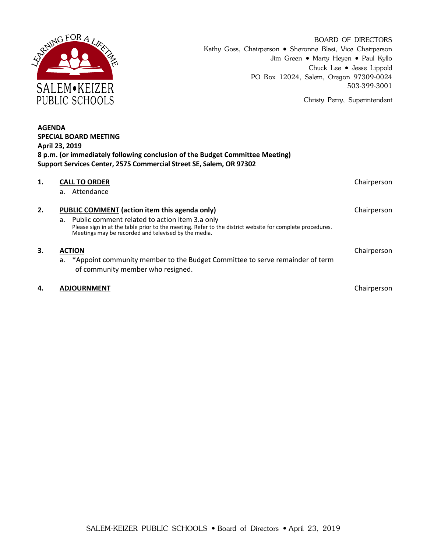

Christy Perry, Superintendent

| <b>AGENDA</b><br><b>SPECIAL BOARD MEETING</b><br><b>April 23, 2019</b><br>8 p.m. (or immediately following conclusion of the Budget Committee Meeting)<br>Support Services Center, 2575 Commercial Street SE, Salem, OR 97302 |                                                                                                                                                                                                                                                                        |             |
|-------------------------------------------------------------------------------------------------------------------------------------------------------------------------------------------------------------------------------|------------------------------------------------------------------------------------------------------------------------------------------------------------------------------------------------------------------------------------------------------------------------|-------------|
| 1.                                                                                                                                                                                                                            | <b>CALL TO ORDER</b><br>Attendance<br>$a_{-}$                                                                                                                                                                                                                          | Chairperson |
| 2.                                                                                                                                                                                                                            | PUBLIC COMMENT (action item this agenda only)<br>a. Public comment related to action item 3.a only<br>Please sign in at the table prior to the meeting. Refer to the district website for complete procedures.<br>Meetings may be recorded and televised by the media. | Chairperson |
| 3.                                                                                                                                                                                                                            | <b>ACTION</b><br>*Appoint community member to the Budget Committee to serve remainder of term<br>а.<br>of community member who resigned.                                                                                                                               | Chairperson |
| 4.                                                                                                                                                                                                                            | <b>ADJOURNMENT</b>                                                                                                                                                                                                                                                     | Chairperson |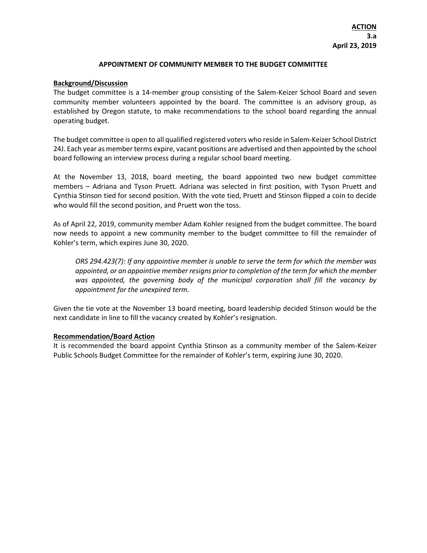## **APPOINTMENT OF COMMUNITY MEMBER TO THE BUDGET COMMITTEE**

## **Background/Discussion**

The budget committee is a 14-member group consisting of the Salem-Keizer School Board and seven community member volunteers appointed by the board. The committee is an advisory group, as established by Oregon statute, to make recommendations to the school board regarding the annual operating budget.

The budget committee is open to all qualified registered voters who reside in Salem-Keizer School District 24J. Each year as member terms expire, vacant positions are advertised and then appointed by the school board following an interview process during a regular school board meeting.

At the November 13, 2018, board meeting, the board appointed two new budget committee members – Adriana and Tyson Pruett. Adriana was selected in first position, with Tyson Pruett and Cynthia Stinson tied for second position. With the vote tied, Pruett and Stinson flipped a coin to decide who would fill the second position, and Pruett won the toss.

As of April 22, 2019, community member Adam Kohler resigned from the budget committee. The board now needs to appoint a new community member to the budget committee to fill the remainder of Kohler's term, which expires June 30, 2020.

*ORS 294.423(7): If any appointive member is unable to serve the term for which the member was appointed, or an appointive member resigns prior to completion of the term for which the member*  was appointed, the governing body of the municipal corporation shall fill the vacancy by *appointment for the unexpired term.* 

Given the tie vote at the November 13 board meeting, board leadership decided Stinson would be the next candidate in line to fill the vacancy created by Kohler's resignation.

## **Recommendation/Board Action**

It is recommended the board appoint Cynthia Stinson as a community member of the Salem-Keizer Public Schools Budget Committee for the remainder of Kohler's term, expiring June 30, 2020.